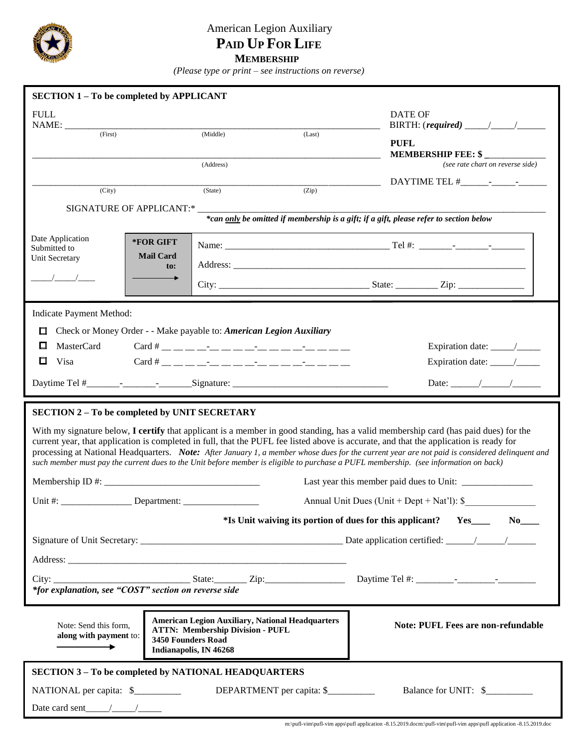

## American Legion Auxiliary  **PAID UP FOR LIFE MEMBERSHIP**

 *(Please type or print – see instructions on reverse)*

| <b>SECTION 1-To be completed by APPLICANT</b>                                                                                                                                                                                                                                                                                        |                                                                                                                                                    |                                           |                           |             |                                                                                                                                                                                                                                                                                       |  |  |  |  |
|--------------------------------------------------------------------------------------------------------------------------------------------------------------------------------------------------------------------------------------------------------------------------------------------------------------------------------------|----------------------------------------------------------------------------------------------------------------------------------------------------|-------------------------------------------|---------------------------|-------------|---------------------------------------------------------------------------------------------------------------------------------------------------------------------------------------------------------------------------------------------------------------------------------------|--|--|--|--|
| <b>FULL</b><br>NAME:                                                                                                                                                                                                                                                                                                                 |                                                                                                                                                    | <b>DATE OF</b>                            |                           |             |                                                                                                                                                                                                                                                                                       |  |  |  |  |
| (First)                                                                                                                                                                                                                                                                                                                              |                                                                                                                                                    | (Middle)                                  | (Last)                    | <b>PUFL</b> | MEMBERSHIP FEE: \$                                                                                                                                                                                                                                                                    |  |  |  |  |
|                                                                                                                                                                                                                                                                                                                                      |                                                                                                                                                    | (Address)                                 |                           |             | (see rate chart on reverse side)                                                                                                                                                                                                                                                      |  |  |  |  |
|                                                                                                                                                                                                                                                                                                                                      |                                                                                                                                                    |                                           |                           |             |                                                                                                                                                                                                                                                                                       |  |  |  |  |
| (City)                                                                                                                                                                                                                                                                                                                               |                                                                                                                                                    | (State)                                   | (Zip)                     |             |                                                                                                                                                                                                                                                                                       |  |  |  |  |
| <b>SIGNATURE OF APPLICANT:*</b><br>*can only be omitted if membership is a gift; if a gift, please refer to section below                                                                                                                                                                                                            |                                                                                                                                                    |                                           |                           |             |                                                                                                                                                                                                                                                                                       |  |  |  |  |
| Date Application                                                                                                                                                                                                                                                                                                                     | *FOR GIFT                                                                                                                                          |                                           |                           |             |                                                                                                                                                                                                                                                                                       |  |  |  |  |
| Submitted to<br>Unit Secretary                                                                                                                                                                                                                                                                                                       | <b>Mail Card</b>                                                                                                                                   |                                           |                           |             |                                                                                                                                                                                                                                                                                       |  |  |  |  |
| $\sqrt{1}$                                                                                                                                                                                                                                                                                                                           | to:                                                                                                                                                |                                           |                           |             |                                                                                                                                                                                                                                                                                       |  |  |  |  |
|                                                                                                                                                                                                                                                                                                                                      |                                                                                                                                                    |                                           |                           |             |                                                                                                                                                                                                                                                                                       |  |  |  |  |
| <b>Indicate Payment Method:</b>                                                                                                                                                                                                                                                                                                      |                                                                                                                                                    |                                           |                           |             |                                                                                                                                                                                                                                                                                       |  |  |  |  |
| Check or Money Order - - Make payable to: American Legion Auxiliary<br>口                                                                                                                                                                                                                                                             |                                                                                                                                                    |                                           |                           |             |                                                                                                                                                                                                                                                                                       |  |  |  |  |
| MasterCard<br>□                                                                                                                                                                                                                                                                                                                      |                                                                                                                                                    |                                           |                           |             |                                                                                                                                                                                                                                                                                       |  |  |  |  |
| $\Box$ Visa                                                                                                                                                                                                                                                                                                                          |                                                                                                                                                    |                                           |                           |             |                                                                                                                                                                                                                                                                                       |  |  |  |  |
|                                                                                                                                                                                                                                                                                                                                      |                                                                                                                                                    |                                           |                           |             |                                                                                                                                                                                                                                                                                       |  |  |  |  |
|                                                                                                                                                                                                                                                                                                                                      |                                                                                                                                                    |                                           |                           |             |                                                                                                                                                                                                                                                                                       |  |  |  |  |
| <b>SECTION 2-To be completed by UNIT SECRETARY</b><br>current year, that application is completed in full, that the PUFL fee listed above is accurate, and that the application is ready for<br>such member must pay the current dues to the Unit before member is eligible to purchase a PUFL membership. (see information on back) |                                                                                                                                                    |                                           |                           |             | With my signature below, I certify that applicant is a member in good standing, has a valid membership card (has paid dues) for the<br>processing at National Headquarters. Note: After January 1, a member whose dues for the current year are not paid is considered delinquent and |  |  |  |  |
|                                                                                                                                                                                                                                                                                                                                      |                                                                                                                                                    |                                           |                           |             |                                                                                                                                                                                                                                                                                       |  |  |  |  |
| Unit #:                                                                                                                                                                                                                                                                                                                              | Annual Unit Dues (Unit + Dept + Nat'l): \$<br>Department:                                                                                          |                                           |                           |             |                                                                                                                                                                                                                                                                                       |  |  |  |  |
|                                                                                                                                                                                                                                                                                                                                      |                                                                                                                                                    |                                           |                           |             | *Is Unit waiving its portion of dues for this applicant? Yes_____<br>$No$ <sub>___</sub>                                                                                                                                                                                              |  |  |  |  |
|                                                                                                                                                                                                                                                                                                                                      |                                                                                                                                                    |                                           |                           |             |                                                                                                                                                                                                                                                                                       |  |  |  |  |
|                                                                                                                                                                                                                                                                                                                                      |                                                                                                                                                    |                                           |                           |             |                                                                                                                                                                                                                                                                                       |  |  |  |  |
| *for explanation, see "COST" section on reverse side                                                                                                                                                                                                                                                                                 |                                                                                                                                                    |                                           |                           |             |                                                                                                                                                                                                                                                                                       |  |  |  |  |
| Note: Send this form,<br>along with payment to:                                                                                                                                                                                                                                                                                      | <b>American Legion Auxiliary, National Headquarters</b><br><b>ATTN: Membership Division - PUFL</b><br>3450 Founders Road<br>Indianapolis, IN 46268 | <b>Note: PUFL Fees are non-refundable</b> |                           |             |                                                                                                                                                                                                                                                                                       |  |  |  |  |
| <b>SECTION 3 - To be completed by NATIONAL HEADQUARTERS</b>                                                                                                                                                                                                                                                                          |                                                                                                                                                    |                                           |                           |             |                                                                                                                                                                                                                                                                                       |  |  |  |  |
| NATIONAL per capita: \$                                                                                                                                                                                                                                                                                                              |                                                                                                                                                    |                                           | DEPARTMENT per capita: \$ |             | Balance for UNIT: \$                                                                                                                                                                                                                                                                  |  |  |  |  |
|                                                                                                                                                                                                                                                                                                                                      |                                                                                                                                                    |                                           |                           |             |                                                                                                                                                                                                                                                                                       |  |  |  |  |